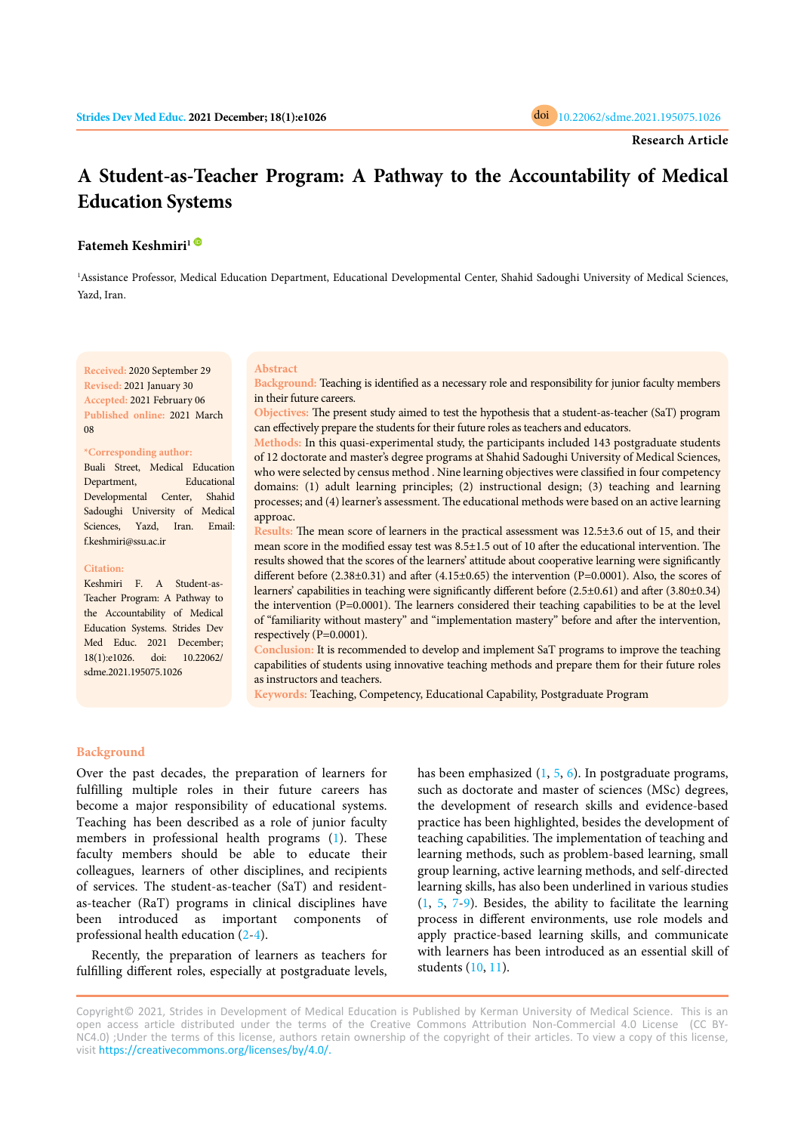# **A Student-as-Teacher Program: A Pathway to the Accountability of Medical Education Systems**

# **Fatemeh Keshmiri[1](https://orcid.org/0000-0002-6791-2579)**

<sup>1</sup>Assistance Professor, Medical Education Department, Educational Developmental Center, Shahid Sadoughi University of Medical Sciences, Yazd, Iran.

**Received:** 2020 September 29 **Revised:** 2021 January 30 **Accepted:** 2021 February 06 **Published online:** 2021 March 08

## **\*Corresponding author:**

Buali Street, Medical Education Department, Educational Developmental Center, Shahid Sadoughi University of Medical Sciences, Yazd, Iran. Email: f.keshmiri@ssu.ac.ir

## **Citation:**

Keshmiri F. A Student-as-Teacher Program: A Pathway to the Accountability of Medical Education Systems. Strides Dev Med Educ. 2021 December; 18(1):e1026. doi: 10.22062/ sdme.2021.195075.1026

#### **Abstract**

**Background:** Teaching is identified as a necessary role and responsibility for junior faculty members in their future careers.

**Objectives:** The present study aimed to test the hypothesis that a student-as-teacher (SaT) program can effectively prepare the students for their future roles as teachers and educators.

**Methods:** In this quasi-experimental study, the participants included 143 postgraduate students of 12 doctorate and master's degree programs at Shahid Sadoughi University of Medical Sciences, who were selected by census method . Nine learning objectives were classified in four competency domains: (1) adult learning principles; (2) instructional design; (3) teaching and learning processes; and (4) learner's assessment. The educational methods were based on an active learning approac.

**Results:** The mean score of learners in the practical assessment was 12.5±3.6 out of 15, and their mean score in the modified essay test was 8.5±1.5 out of 10 after the educational intervention. The results showed that the scores of the learners' attitude about cooperative learning were significantly different before  $(2.38\pm0.31)$  and after  $(4.15\pm0.65)$  the intervention  $(P=0.0001)$ . Also, the scores of learners' capabilities in teaching were significantly different before (2.5±0.61) and after (3.80±0.34) the intervention (P=0.0001). The learners considered their teaching capabilities to be at the level of "familiarity without mastery" and "implementation mastery" before and after the intervention, respectively (P=0.0001).

**Conclusion:** It is recommended to develop and implement SaT programs to improve the teaching capabilities of students using innovative teaching methods and prepare them for their future roles as instructors and teachers.

**Keywords:** Teaching, Competency, Educational Capability, Postgraduate Program

## **Background**

Over the past decades, the preparation of learners for fulfilling multiple roles in their future careers has become a major responsibility of educational systems. Teaching has been described as a role of junior faculty members in professional health programs (1). These faculty members should beable to educate their colleagues, learners of other disciplines, and recipients of services. The student-as-teacher (SaT) and residentas-teacher (RaT) programs in clinical disciplines have been introduced as important com[pone](#page-4-0)nts of professional health education (2-4).

Recently, the preparation of learners as teachers for fulfilling different roles, especially at postgraduate levels,

has been emphasized ([1,](#page-4-0) [5](#page-4-0), [6](#page-4-0)). In postgraduate programs, such as doctorate and master of sciences (MSc) degrees, the development of research skills and evidence-based practice has been highlighted, besides the development of teaching capabilities. The implementation of teaching and learning methods, such as problem-based learning, small group learning, active learning methods, and self-directed learning skills, has also been underlined in various studies ([1,](#page-4-0) [5,](#page-4-0) [7](#page-4-0)-[9](#page-4-0)). Besides, the ability to facilitate the learning process in different environments, use role models and apply practice-based learning skills, and communicate with learners has been introduced as an essential skill of students ([10](#page-4-0), [11](#page-4-0)).

Copyright© 2021, Strides in Development of Medical Education is Published by Kerman University of Medical Science. This is an open access article distributed under the terms of the Creative Commons Attribution Non-Commercial 4.0 License (CC BY-NC4.0) ;Under the terms of this license, authors retain ownership of the copyright of their articles. To view a copy of this license, visit [https://creativecommons.org/licenses/by/4.0/.](https://creativecommons.org/licenses/by/4.0/)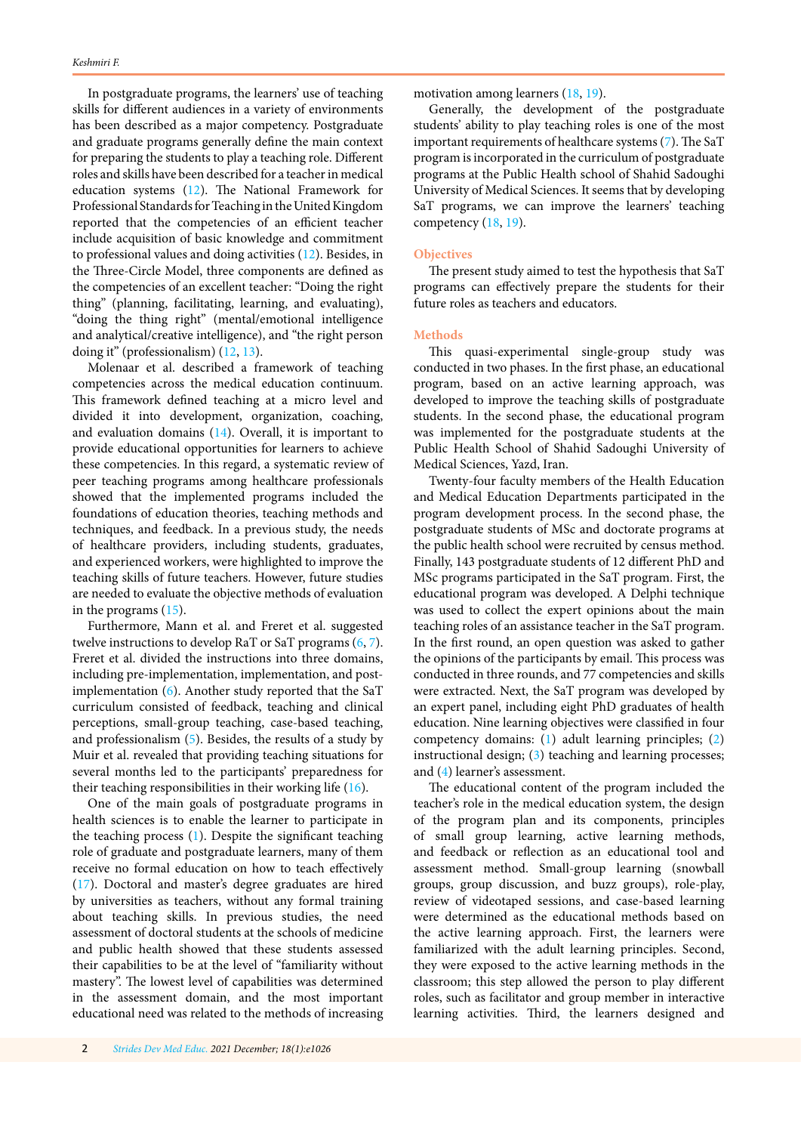In postgraduate programs, the learners' use of teaching skills for different audiences in a variety of environments has been described as a major competency. Postgraduate and graduate programs generally define the main context for preparing the students to play a teaching role. Different roles and skills have been described for a teacher in medical education systems [\(12\)](#page-4-0). The National Framework for Professional Standards for Teaching in the United Kingdom reported that the competencies of an efficient teacher include acquisition of basic knowledge and commitment to professional values and doing activities ([12](#page-4-0)). Besides, in the Three-Circle Model, three components are defined as the competencies of an excellent teacher: "Doing the right thing" (planning, facilitating, learning, and evaluating), "doing the thing right" (mental/emotional intelligence and analytical/creative intelligence), and "the right person doing it" (professionalism) [\(12, 13\)](#page-4-0).

Molenaar et al. described a framework of teaching competencies across the medical education continuum. This framework defined teaching at a micro level and divided it into development, organization, coaching, and evaluation domains [\(14\)](#page-4-0). Overall, it is important to provide educational opportunities for learners to achieve these competencies. In this regard, a systematic review of peer teaching programs among healthcare professionals showed that the implemented programs included the foundations of education theories, teaching methods and techniques, and feedback. In a previous study, the needs of healthcare providers, including students, graduates, and experienced workers, were highlighted to improve the teaching skills of future teachers. However, future studies are needed to evaluate the objective methods of evaluation in the programs [\(15\)](#page-4-0).

Furthermore, Mann et al. and Freret et al. suggested twelve instructions to develop RaT or SaT programs [\(6](#page-4-0), [7](#page-4-0)). Freret et al. divided the instructions into three domains, including pre-implementation, implementation, and postimplementation ([6\)](#page-4-0). Another study reported that the SaT curriculum consisted of feedback, teaching and clinical perceptions, small-group teaching, case-based teaching, and professionalism ([5](#page-4-0)). Besides, the results of a study by Muir et al. revealed that providing teaching situations for several months led to the participants' preparedness for their teaching responsibilities in their working life ([16](#page-4-0)).

One of the main goals of postgraduate programs in health sciences is to enable the learner to participate in the teaching process  $(1)$  $(1)$ . Despite the significant teaching role of graduate and postgraduate learners, many of them receive no formal education on how to teach effectively [\(17\)](#page-4-0). Doctoral and master's degree graduates are hired by universities as teachers, without any formal training about teaching skills. In previous studies, the need assessment of doctoral students at the schools of medicine and public health showed that these students assessed their capabilities to be at the level of "familiarity without mastery". The lowest level of capabilities was determined in the assessment domain, and the most important educational need was related to the methods of increasing

motivation among learners [\(18,](#page-4-0) [19\)](#page-5-0).

Generally, the development of the postgraduate students' ability to play teaching roles is one of the most important requirements of healthcare systems [\(7\)](#page-4-0). The SaT program is incorporated in the curriculum of postgraduate programs at the Public Health school of Shahid Sadoughi University of Medical Sciences. It seems that by developing SaT programs, we can improve the learners' teaching competency ([18](#page-4-0), [19](#page-5-0)).

# **Objectives**

The present study aimed to test the hypothesis that SaT programs can effectively prepare the students for their future roles as teachers and educators.

# **Methods**

This quasi-experimental single-group study was conducted in two phases. In the first phase, an educational program, based on an active learning approach, was developed to improve the teaching skills of postgraduate students. In the second phase, the educational program was implemented for the postgraduate students at the Public Health School of Shahid Sadoughi University of Medical Sciences, Yazd, Iran.

Twenty-four faculty members of the Health Education and Medical Education Departments participated in the program development process. In the second phase, the postgraduate students of MSc and doctorate programs at the public health school were recruited by census method. Finally, 143 postgraduate students of 12 different PhD and MSc programs participated in the SaT program. First, the educational program was developed. A Delphi technique was used to collect the expert opinions about the main teaching roles of an assistance teacher in the SaT program. In the first round, an open question was asked to gather the opinions of the participants by email. This process was conducted in three rounds, and 77 competencies and skills were extracted. Next, the SaT program was developed by an expert panel, including eight PhD graduates of health education. Nine learning objectives were classified in four competency domains: [\(1](#page-4-0)) adult learning principles; [\(2](#page-4-0)) instructional design; ([3](#page-4-0)) teaching and learning processes; and [\(4](#page-4-0)) learner's assessment.

The educational content of the program included the teacher's role in the medical education system, the design of the program plan and its components, principles of small group learning, active learning methods, and feedback or reflection as an educational tool and assessment method. Small-group learning (snowball groups, group discussion, and buzz groups), role-play, review of videotaped sessions, and case-based learning were determined as the educational methods based on the active learning approach. First, the learners were familiarized with the adult learning principles. Second, they were exposed to the active learning methods in the classroom; this step allowed the person to play different roles, such as facilitator and group member in interactive learning activities. Third, the learners designed and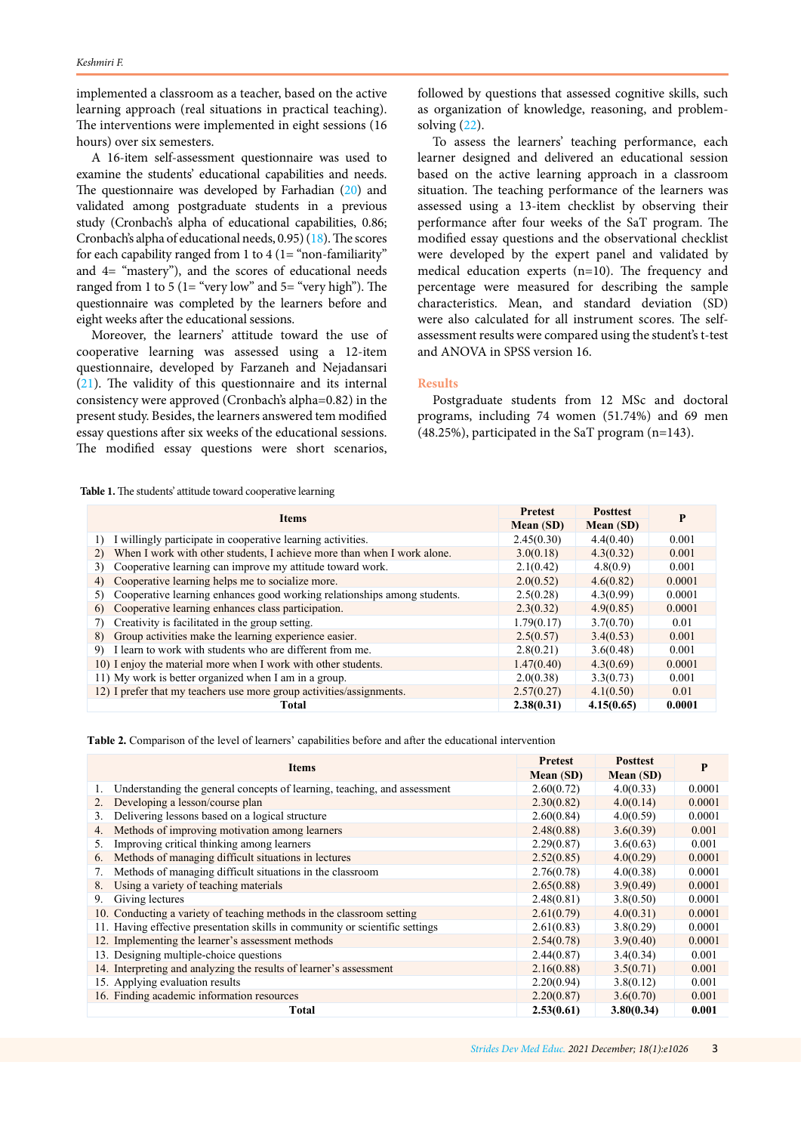<span id="page-2-0"></span>implemented a classroom as a teacher, based on the active learning approach (real situations in practical teaching). The interventions were implemented in eight sessions (16 hours) over six semesters.

A 16-item self-assessment questionnaire was used to examine the students' educational capabilities and needs. The questionnaire was developed by Farhadian [\(20](#page-5-0)) and validated among postgraduate students in a previous study (Cronbach's alpha of educational capabilities, 0.86; Cronbach's alpha of educational needs, 0.95) [\(18](#page-4-0)). The scores for each capability ranged from 1 to 4 (1= "non-familiarity" and 4= "mastery"), and the scores of educational needs ranged from 1 to 5 (1= "very low" and  $5=$  "very high"). The questionnaire was completed by the learners before and eight weeks after the educational sessions.

Moreover, the learners' attitude toward the use of cooperative learning was assessed using a 12-item questionnaire, developed by Farzaneh and Nejadansari [\(21\)](#page-5-0). The validity of this questionnaire and its internal consistency were approved (Cronbach's alpha=0.82) in the present study. Besides, the learners answered tem modified essay questions after six weeks of the educational sessions. The modified essay questions were short scenarios,

followed by questions that assessed cognitive skills, such as organization of knowledge, reasoning, and problemsolving ([22](#page-5-0)).

To assess the learners' teaching performance, each learner designed and delivered an educational session based on the active learning approach in a classroom situation. The teaching performance of the learners was assessed using a 13-item checklist by observing their performance after four weeks of the SaT program. The modified essay questions and the observational checklist were developed by the expert panel and validated by medical education experts (n=10). The frequency and percentage were measured for describing the sample characteristics. Mean, and standard deviation (SD) were also calculated for all instrument scores. The selfassessment results were compared using the student's t-test and ANOVA in SPSS version 16.

## **Results**

Postgraduate students from 12 MSc and doctoral programs, including 74 women (51.74%) and 69 men (48.25%), participated in the SaT program (n=143).

**Table 1.** The students' attitude toward cooperative learning

| <b>Items</b>                                                                   | <b>Pretest</b> | <b>Posttest</b> | P      |
|--------------------------------------------------------------------------------|----------------|-----------------|--------|
|                                                                                | Mean (SD)      | Mean (SD)       |        |
| I willingly participate in cooperative learning activities.                    | 2.45(0.30)     | 4.4(0.40)       | 0.001  |
| When I work with other students, I achieve more than when I work alone.<br>2)  | 3.0(0.18)      | 4.3(0.32)       | 0.001  |
| Cooperative learning can improve my attitude toward work.<br>3)                | 2.1(0.42)      | 4.8(0.9)        | 0.001  |
| Cooperative learning helps me to socialize more.<br>4)                         | 2.0(0.52)      | 4.6(0.82)       | 0.0001 |
| Cooperative learning enhances good working relationships among students.<br>5) | 2.5(0.28)      | 4.3(0.99)       | 0.0001 |
| Cooperative learning enhances class participation.<br>6)                       | 2.3(0.32)      | 4.9(0.85)       | 0.0001 |
| Creativity is facilitated in the group setting.                                | 1.79(0.17)     | 3.7(0.70)       | 0.01   |
| Group activities make the learning experience easier.<br>8)                    | 2.5(0.57)      | 3.4(0.53)       | 0.001  |
| 9) I learn to work with students who are different from me.                    | 2.8(0.21)      | 3.6(0.48)       | 0.001  |
| 10) I enjoy the material more when I work with other students.                 | 1.47(0.40)     | 4.3(0.69)       | 0.0001 |
| 11) My work is better organized when I am in a group.                          | 2.0(0.38)      | 3.3(0.73)       | 0.001  |
| 12) I prefer that my teachers use more group activities/assignments.           | 2.57(0.27)     | 4.1(0.50)       | 0.01   |
| Total                                                                          | 2.38(0.31)     | 4.15(0.65)      | 0.0001 |

**Table 2.** Comparison of the level of learners' capabilities before and after the educational intervention

| <b>Items</b>                                                                 | <b>Pretest</b> | <b>Posttest</b> | P      |
|------------------------------------------------------------------------------|----------------|-----------------|--------|
|                                                                              | Mean (SD)      | Mean (SD)       |        |
| Understanding the general concepts of learning, teaching, and assessment     | 2.60(0.72)     | 4.0(0.33)       | 0.0001 |
| Developing a lesson/course plan<br>2.                                        | 2.30(0.82)     | 4.0(0.14)       | 0.0001 |
| Delivering lessons based on a logical structure<br>3.                        | 2.60(0.84)     | 4.0(0.59)       | 0.0001 |
| Methods of improving motivation among learners<br>4.                         | 2.48(0.88)     | 3.6(0.39)       | 0.001  |
| Improving critical thinking among learners<br>5.                             | 2.29(0.87)     | 3.6(0.63)       | 0.001  |
| Methods of managing difficult situations in lectures<br>6.                   | 2.52(0.85)     | 4.0(0.29)       | 0.0001 |
| Methods of managing difficult situations in the classroom                    | 2.76(0.78)     | 4.0(0.38)       | 0.0001 |
| Using a variety of teaching materials<br>8.                                  | 2.65(0.88)     | 3.9(0.49)       | 0.0001 |
| Giving lectures<br>9.                                                        | 2.48(0.81)     | 3.8(0.50)       | 0.0001 |
| 10. Conducting a variety of teaching methods in the classroom setting        | 2.61(0.79)     | 4.0(0.31)       | 0.0001 |
| 11. Having effective presentation skills in community or scientific settings | 2.61(0.83)     | 3.8(0.29)       | 0.0001 |
| 12. Implementing the learner's assessment methods                            | 2.54(0.78)     | 3.9(0.40)       | 0.0001 |
| 13. Designing multiple-choice questions                                      | 2.44(0.87)     | 3.4(0.34)       | 0.001  |
| 14. Interpreting and analyzing the results of learner's assessment           | 2.16(0.88)     | 3.5(0.71)       | 0.001  |
| 15. Applying evaluation results                                              | 2.20(0.94)     | 3.8(0.12)       | 0.001  |
| 16. Finding academic information resources                                   | 2.20(0.87)     | 3.6(0.70)       | 0.001  |
| Total                                                                        | 2.53(0.61)     | 3.80(0.34)      | 0.001  |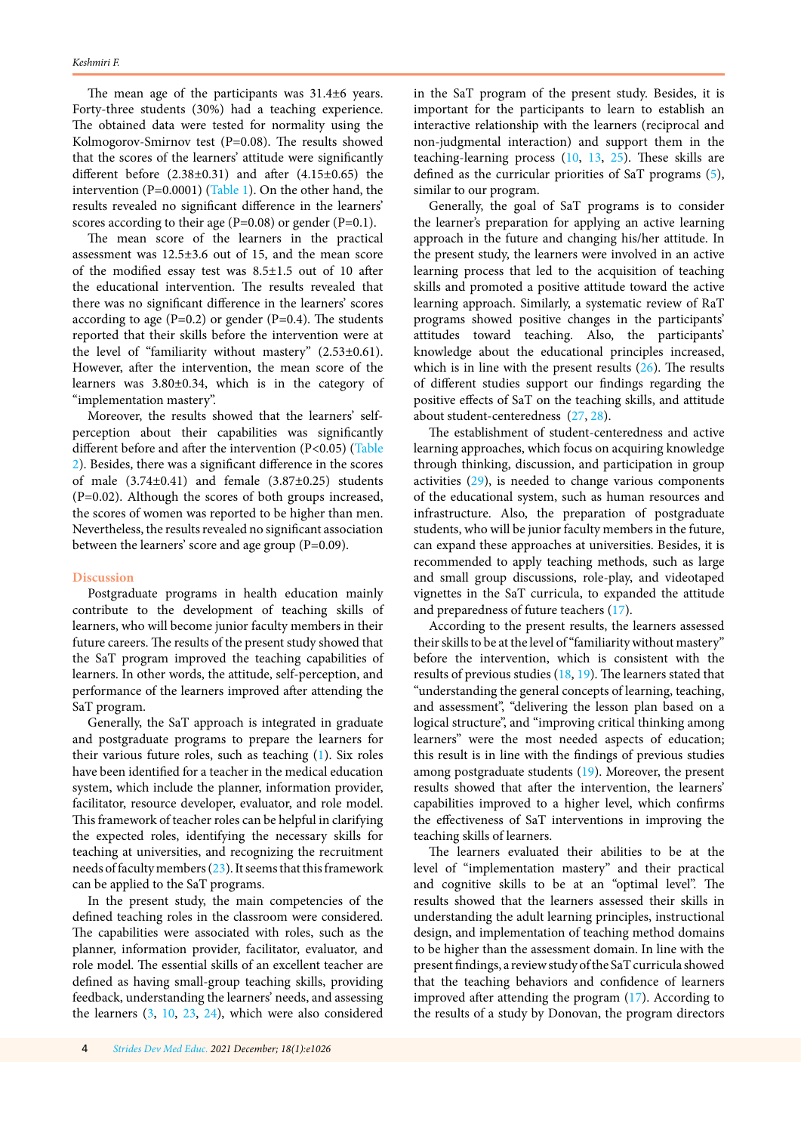The mean age of the participants was 31.4±6 years. Forty-three students (30%) had a teaching experience. The obtained data were tested for normality using the Kolmogorov-Smirnov test (P=0.08). The results showed that the scores of the learners' attitude were significantly different before  $(2.38\pm0.31)$  and after  $(4.15\pm0.65)$  the intervention (P=0.0001) [\(Table 1\)](#page-2-0). On the other hand, the results revealed no significant difference in the learners' scores according to their age  $(P=0.08)$  or gender  $(P=0.1)$ .

The mean score of the learners in the practical assessment was 12.5±3.6 out of 15, and the mean score of the modified essay test was 8.5±1.5 out of 10 after the educational intervention. The results revealed that there was no significant difference in the learners' scores according to age  $(P=0.2)$  or gender  $(P=0.4)$ . The students reported that their skills before the intervention were at the level of "familiarity without mastery" (2.53±0.61). However, after the intervention, the mean score of the learners was 3.80±0.34, which is in the category of "implementation mastery".

Moreover, the results showed that the learners' selfperception about their capabilities was significantly different before and after the intervention (P<0.05) ([Table](#page-2-0)  [2\)](#page-2-0). Besides, there was a significant difference in the scores of male  $(3.74\pm0.41)$  and female  $(3.87\pm0.25)$  students (P=0.02). Although the scores of both groups increased, the scores of women was reported to be higher than men. Nevertheless, the results revealed no significant association between the learners' score and age group (P=0.09).

## **Discussion**

Postgraduate programs in health education mainly contribute to the development of teaching skills of learners, who will become junior faculty members in their future careers. The results of the present study showed that the SaT program improved the teaching capabilities of learners. In other words, the attitude, self-perception, and performance of the learners improved after attending the SaT program.

Generally, the SaT approach is integrated in graduate and postgraduate programs to prepare the learners for their various future roles, such as teaching [\(1](#page-4-0)). Six roles have been identified for a teacher in the medical education system, which include the planner, information provider, facilitator, resource developer, evaluator, and role model. This framework of teacher roles can be helpful in clarifying the expected roles, identifying the necessary skills for teaching at universities, and recognizing the recruitment needs of faculty members [\(23\)](#page-5-0). It seems that this framework can be applied to the SaT programs.

In the present study, the main competencies of the defined teaching roles in the classroom were considered. The capabilities were associated with roles, such as the planner, information provider, facilitator, evaluator, and role model. The essential skills of an excellent teacher are defined as having small-group teaching skills, providing feedback, understanding the learners' needs, and assessing the learners [\(3](#page-4-0), [10,](#page-4-0) [23,](#page-5-0) [24](#page-5-0)), which were also considered

in the SaT program of the present study. Besides, it is important for the participants to learn to establish an interactive relationship with the learners (reciprocal and non-judgmental interaction) and support them in the teaching-learning process ([10](#page-4-0), [13,](#page-4-0) [25\)](#page-5-0). These skills are defined as the curricular priorities of SaT programs [\(5\)](#page-4-0), similar to our program.

Generally, the goal of SaT programs is to consider the learner's preparation for applying an active learning approach in the future and changing his/her attitude. In the present study, the learners were involved in an active learning process that led to the acquisition of teaching skills and promoted a positive attitude toward the active learning approach. Similarly, a systematic review of RaT programs showed positive changes in the participants' attitudes toward teaching. Also, the participants' knowledge about the educational principles increased, which is in line with the present results  $(26)$ . The results of different studies support our findings regarding the positive effects of SaT on the teaching skills, and attitude about student-centeredness ([27, 28\)](#page-5-0).

The establishment of student-centeredness and active learning approaches, which focus on acquiring knowledge through thinking, discussion, and participation in group activities [\(29\)](#page-5-0), is needed to change various components of the educational system, such as human resources and infrastructure. Also, the preparation of postgraduate students, who will be junior faculty members in the future, can expand these approaches at universities. Besides, it is recommended to apply teaching methods, such as large and small group discussions, role-play, and videotaped vignettes in the SaT curricula, to expanded the attitude and preparedness of future teachers [\(17\)](#page-4-0).

According to the present results, the learners assessed their skills to be at the level of "familiarity without mastery" before the intervention, which is consistent with the results of previous studies [\(18,](#page-4-0) [19\)](#page-5-0). The learners stated that "understanding the general concepts of learning, teaching, and assessment", "delivering the lesson plan based on a logical structure", and "improving critical thinking among learners" were the most needed aspects of education; this result is in line with the findings of previous studies among postgraduate students [\(19\)](#page-5-0). Moreover, the present results showed that after the intervention, the learners' capabilities improved to a higher level, which confirms the effectiveness of SaT interventions in improving the teaching skills of learners.

The learners evaluated their abilities to be at the level of "implementation mastery" and their practical and cognitive skills to be at an "optimal level". The results showed that the learners assessed their skills in understanding the adult learning principles, instructional design, and implementation of teaching method domains to be higher than the assessment domain. In line with the present findings, a review study of the SaT curricula showed that the teaching behaviors and confidence of learners improved after attending the program ([17](#page-4-0)). According to the results of a study by Donovan, the program directors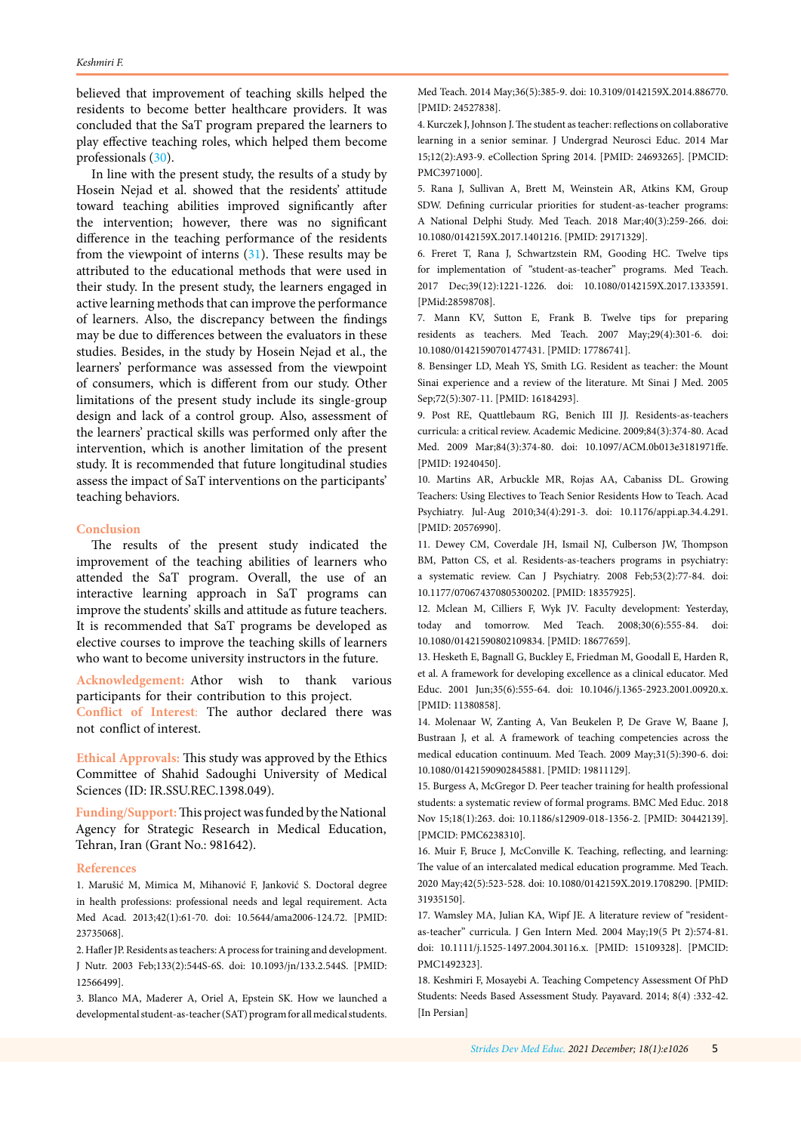<span id="page-4-0"></span>believed that improvement of teaching skills helped the residents to become better healthcare providers. It was concluded that the SaT program prepared the learners to play effective teaching roles, which helped them become professionals [\(30\)](#page-5-0).

In line with the present study, the results of a study by Hosein Nejad et al. showed that the residents' attitude toward teaching abilities improved significantly after the intervention; however, there was no significant difference in the teaching performance of the residents from the viewpoint of interns [\(31\)](#page-5-0). These results may be attributed to the educational methods that were used in their study. In the present study, the learners engaged in active learning methods that can improve the performance of learners. Also, the discrepancy between the findings may be due to differences between the evaluators in these studies. Besides, in the study by Hosein Nejad et al., the learners' performance was assessed from the viewpoint of consumers, which is different from our study. Other limitations of the present study include its single-group design and lack of a control group. Also, assessment of the learners' practical skills was performed only after the intervention, which is another limitation of the present study. It is recommended that future longitudinal studies assess the impact of SaT interventions on the participants' teaching behaviors.

## **Conclusion**

The results of the present study indicated the improvement of the teaching abilities of learners who attended the SaT program. Overall, the use of an interactive learning approach in SaT programs can improve the students' skills and attitude as future teachers. It is recommended that SaT programs be developed as elective courses to improve the teaching skills of learners who want to become university instructors in the future.

**Acknowledgement:** Athor wish to thank various participants for their contribution to this project.

**Conflict of Interest**: The author declared there was not conflict of interest.

**Ethical Approvals:** This study was approved by the Ethics Committee of Shahid Sadoughi University of Medical Sciences (ID: IR.SSU.REC.1398.049).

**Funding/Support:**This project was funded by the National Agency for Strategic Research in Medical Education, Tehran, Iran (Grant No.: 981642).

## **References**

1. Marušić M, Mimica M, Mihanović F, Janković S. Doctoral degree in health professions: professional needs and legal requirement. Acta Med Acad. 2013;42(1):61-70. doi: 10.5644/ama2006-124.72. [PMID: 23735068].

2. Hafler JP. Residents as teachers: A process for training and development. J Nutr. 2003 Feb;133(2):544S-6S. doi: 10.1093/jn/133.2.544S. [PMID: 12566499].

3. Blanco MA, Maderer A, Oriel A, Epstein SK. How we launched a developmental student-as-teacher (SAT) program for all medical students.

Med Teach. 2014 May;36(5):385-9. doi: 10.3109/0142159X.2014.886770. [PMID: 24527838].

4. Kurczek J, Johnson J. The student as teacher: reflections on collaborative learning in a senior seminar. J Undergrad Neurosci Educ. 2014 Mar 15;12(2):A93-9. eCollection Spring 2014. [PMID: 24693265]. [PMCID: PMC3971000].

5. Rana J, Sullivan A, Brett M, Weinstein AR, Atkins KM, Group SDW. Defining curricular priorities for student-as-teacher programs: A National Delphi Study. Med Teach. 2018 Mar;40(3):259-266. doi: 10.1080/0142159X.2017.1401216. [PMID: 29171329].

6. Freret T, Rana J, Schwartzstein RM, Gooding HC. Twelve tips for implementation of "student-as-teacher" programs. Med Teach. 2017 Dec;39(12):1221-1226. doi: 10.1080/0142159X.2017.1333591. [PMid:28598708].

7. Mann KV, Sutton E, Frank B. Twelve tips for preparing residents as teachers. Med Teach. 2007 May;29(4):301-6. doi: 10.1080/01421590701477431. [PMID: 17786741].

8. Bensinger LD, Meah YS, Smith LG. Resident as teacher: the Mount Sinai experience and a review of the literature. Mt Sinai J Med. 2005 Sep;72(5):307-11. [PMID: 16184293].

9. Post RE, Quattlebaum RG, Benich III JJ. Residents-as-teachers curricula: a critical review. Academic Medicine. 2009;84(3):374-80. Acad Med. 2009 Mar;84(3):374-80. doi: 10.1097/ACM.0b013e3181971ffe. [PMID: 19240450].

10. Martins AR, Arbuckle MR, Rojas AA, Cabaniss DL. Growing Teachers: Using Electives to Teach Senior Residents How to Teach. Acad Psychiatry. Jul-Aug 2010;34(4):291-3. doi: 10.1176/appi.ap.34.4.291. [PMID: 20576990].

11. Dewey CM, Coverdale JH, Ismail NJ, Culberson JW, Thompson BM, Patton CS, et al. Residents-as-teachers programs in psychiatry: a systematic review. Can J Psychiatry. 2008 Feb;53(2):77-84. doi: 10.1177/070674370805300202. [PMID: 18357925].

12. Mclean M, Cilliers F, Wyk JV. Faculty development: Yesterday, today and tomorrow. Med Teach. 2008;30(6):555-84. doi: 10.1080/01421590802109834. [PMID: 18677659].

13. Hesketh E, Bagnall G, Buckley E, Friedman M, Goodall E, Harden R, et al. A framework for developing excellence as a clinical educator. Med Educ. 2001 Jun;35(6):555-64. doi: 10.1046/j.1365-2923.2001.00920.x. [PMID: 11380858].

14. Molenaar W, Zanting A, Van Beukelen P, De Grave W, Baane J, Bustraan J, et al. A framework of teaching competencies across the medical education continuum. Med Teach. 2009 May;31(5):390-6. doi: 10.1080/01421590902845881. [PMID: 19811129].

15. Burgess A, McGregor D. Peer teacher training for health professional students: a systematic review of formal programs. BMC Med Educ. 2018 Nov 15;18(1):263. doi: 10.1186/s12909-018-1356-2. [PMID: 30442139]. [PMCID: PMC6238310].

16. Muir F, Bruce J, McConville K. Teaching, reflecting, and learning: The value of an intercalated medical education programme. Med Teach. 2020 May;42(5):523-528. doi: 10.1080/0142159X.2019.1708290. [PMID: 31935150].

17. Wamsley MA, Julian KA, Wipf JE. A literature review of "residentas-teacher" curricula. J Gen Intern Med. 2004 May;19(5 Pt 2):574-81. doi: 10.1111/j.1525-1497.2004.30116.x. [PMID: 15109328]. [PMCID: PMC1492323].

18. Keshmiri F, Mosayebi A. Teaching Competency Assessment Of PhD Students: Needs Based Assessment Study. Payavard. 2014; 8(4) :332-42. [In Persian]